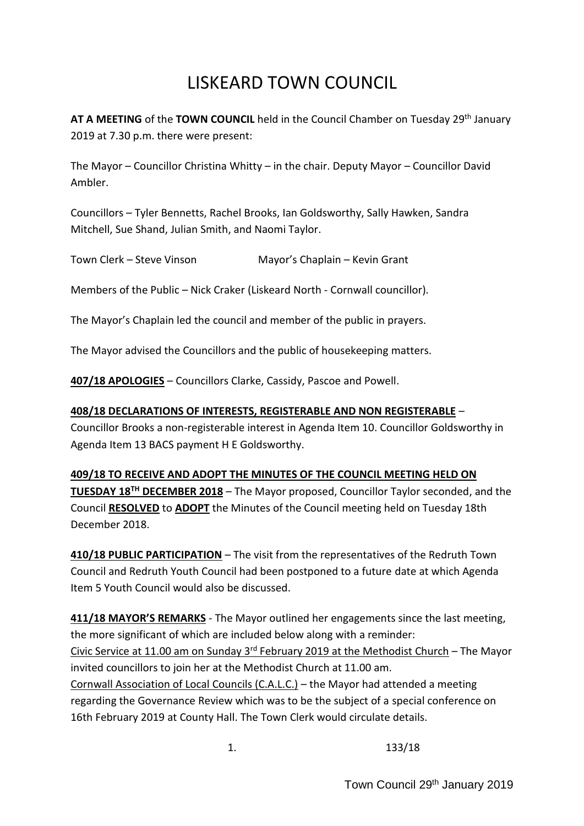# LISKEARD TOWN COUNCIL

AT A MEETING of the TOWN COUNCIL held in the Council Chamber on Tuesday 29<sup>th</sup> January 2019 at 7.30 p.m. there were present:

The Mayor – Councillor Christina Whitty – in the chair. Deputy Mayor – Councillor David Ambler.

Councillors – Tyler Bennetts, Rachel Brooks, Ian Goldsworthy, Sally Hawken, Sandra Mitchell, Sue Shand, Julian Smith, and Naomi Taylor.

Town Clerk – Steve Vinson Mayor's Chaplain – Kevin Grant

Members of the Public – Nick Craker (Liskeard North - Cornwall councillor).

The Mayor's Chaplain led the council and member of the public in prayers.

The Mayor advised the Councillors and the public of housekeeping matters.

**407/18 APOLOGIES** – Councillors Clarke, Cassidy, Pascoe and Powell.

### **408/18 DECLARATIONS OF INTERESTS, REGISTERABLE AND NON REGISTERABLE** –

Councillor Brooks a non-registerable interest in Agenda Item 10. Councillor Goldsworthy in Agenda Item 13 BACS payment H E Goldsworthy.

#### **409/18 TO RECEIVE AND ADOPT THE MINUTES OF THE COUNCIL MEETING HELD ON**

**TUESDAY 18TH DECEMBER 2018** – The Mayor proposed, Councillor Taylor seconded, and the Council **RESOLVED** to **ADOPT** the Minutes of the Council meeting held on Tuesday 18th December 2018.

**410/18 PUBLIC PARTICIPATION** – The visit from the representatives of the Redruth Town Council and Redruth Youth Council had been postponed to a future date at which Agenda Item 5 Youth Council would also be discussed.

**411/18 MAYOR'S REMARKS** - The Mayor outlined her engagements since the last meeting, the more significant of which are included below along with a reminder: Civic Service at 11.00 am on Sunday 3<sup>rd</sup> February 2019 at the Methodist Church - The Mayor invited councillors to join her at the Methodist Church at 11.00 am. Cornwall Association of Local Councils (C.A.L.C.) – the Mayor had attended a meeting regarding the Governance Review which was to be the subject of a special conference on 16th February 2019 at County Hall. The Town Clerk would circulate details.

1. 133/18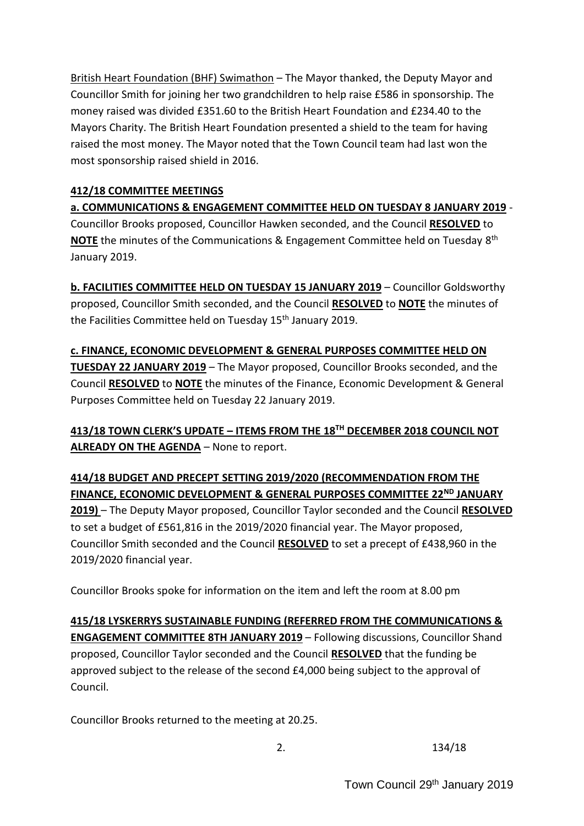British Heart Foundation (BHF) Swimathon – The Mayor thanked, the Deputy Mayor and Councillor Smith for joining her two grandchildren to help raise £586 in sponsorship. The money raised was divided £351.60 to the British Heart Foundation and £234.40 to the Mayors Charity. The British Heart Foundation presented a shield to the team for having raised the most money. The Mayor noted that the Town Council team had last won the most sponsorship raised shield in 2016.

## **412/18 COMMITTEE MEETINGS**

**a. COMMUNICATIONS & ENGAGEMENT COMMITTEE HELD ON TUESDAY 8 JANUARY 2019** - Councillor Brooks proposed, Councillor Hawken seconded, and the Council **RESOLVED** to **NOTE** the minutes of the Communications & Engagement Committee held on Tuesday 8 th January 2019.

**b. FACILITIES COMMITTEE HELD ON TUESDAY 15 JANUARY 2019** – Councillor Goldsworthy proposed, Councillor Smith seconded, and the Council **RESOLVED** to **NOTE** the minutes of the Facilities Committee held on Tuesday 15<sup>th</sup> January 2019.

**c. FINANCE, ECONOMIC DEVELOPMENT & GENERAL PURPOSES COMMITTEE HELD ON TUESDAY 22 JANUARY 2019** – The Mayor proposed, Councillor Brooks seconded, and the Council **RESOLVED** to **NOTE** the minutes of the Finance, Economic Development & General Purposes Committee held on Tuesday 22 January 2019.

**413/18 TOWN CLERK'S UPDATE – ITEMS FROM THE 18TH DECEMBER 2018 COUNCIL NOT ALREADY ON THE AGENDA** – None to report.

**414/18 BUDGET AND PRECEPT SETTING 2019/2020 (RECOMMENDATION FROM THE FINANCE, ECONOMIC DEVELOPMENT & GENERAL PURPOSES COMMITTEE 22ND JANUARY 2019)** – The Deputy Mayor proposed, Councillor Taylor seconded and the Council **RESOLVED** to set a budget of £561,816 in the 2019/2020 financial year. The Mayor proposed, Councillor Smith seconded and the Council **RESOLVED** to set a precept of £438,960 in the 2019/2020 financial year.

Councillor Brooks spoke for information on the item and left the room at 8.00 pm

**415/18 LYSKERRYS SUSTAINABLE FUNDING (REFERRED FROM THE COMMUNICATIONS & ENGAGEMENT COMMITTEE 8TH JANUARY 2019** – Following discussions, Councillor Shand proposed, Councillor Taylor seconded and the Council **RESOLVED** that the funding be approved subject to the release of the second £4,000 being subject to the approval of Council.

Councillor Brooks returned to the meeting at 20.25.

2. 134/18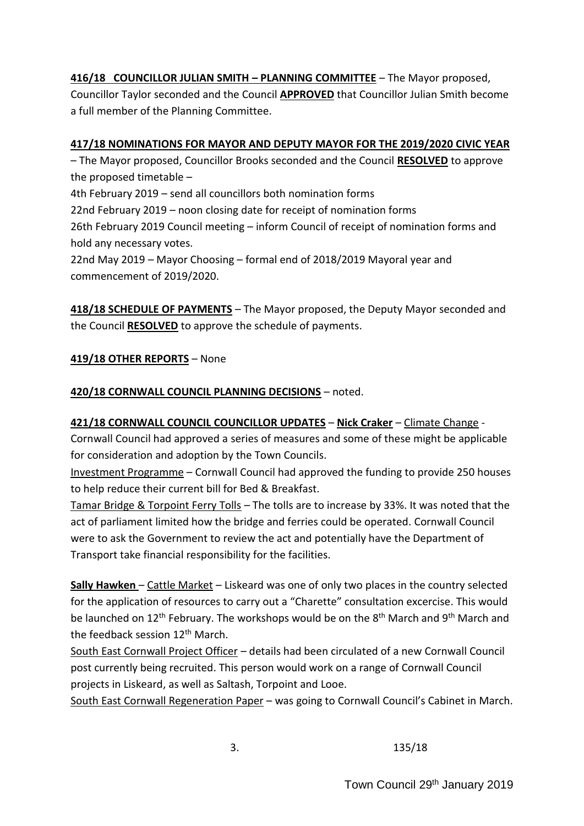# **416/18 COUNCILLOR JULIAN SMITH – PLANNING COMMITTEE** – The Mayor proposed,

Councillor Taylor seconded and the Council **APPROVED** that Councillor Julian Smith become a full member of the Planning Committee.

## **417/18 NOMINATIONS FOR MAYOR AND DEPUTY MAYOR FOR THE 2019/2020 CIVIC YEAR**

– The Mayor proposed, Councillor Brooks seconded and the Council **RESOLVED** to approve the proposed timetable –

4th February 2019 – send all councillors both nomination forms

22nd February 2019 – noon closing date for receipt of nomination forms

26th February 2019 Council meeting – inform Council of receipt of nomination forms and hold any necessary votes.

22nd May 2019 – Mayor Choosing – formal end of 2018/2019 Mayoral year and commencement of 2019/2020.

**418/18 SCHEDULE OF PAYMENTS** – The Mayor proposed, the Deputy Mayor seconded and the Council **RESOLVED** to approve the schedule of payments.

## **419/18 OTHER REPORTS** – None

## **420/18 CORNWALL COUNCIL PLANNING DECISIONS** – noted.

## **421/18 CORNWALL COUNCIL COUNCILLOR UPDATES** – **Nick Craker** – Climate Change -

Cornwall Council had approved a series of measures and some of these might be applicable for consideration and adoption by the Town Councils.

Investment Programme – Cornwall Council had approved the funding to provide 250 houses to help reduce their current bill for Bed & Breakfast.

Tamar Bridge & Torpoint Ferry Tolls – The tolls are to increase by 33%. It was noted that the act of parliament limited how the bridge and ferries could be operated. Cornwall Council were to ask the Government to review the act and potentially have the Department of Transport take financial responsibility for the facilities.

**Sally Hawken** – Cattle Market – Liskeard was one of only two places in the country selected for the application of resources to carry out a "Charette" consultation excercise. This would be launched on 12<sup>th</sup> February. The workshops would be on the 8<sup>th</sup> March and 9<sup>th</sup> March and the feedback session 12<sup>th</sup> March.

South East Cornwall Project Officer – details had been circulated of a new Cornwall Council post currently being recruited. This person would work on a range of Cornwall Council projects in Liskeard, as well as Saltash, Torpoint and Looe.

South East Cornwall Regeneration Paper – was going to Cornwall Council's Cabinet in March.

3. 135/18